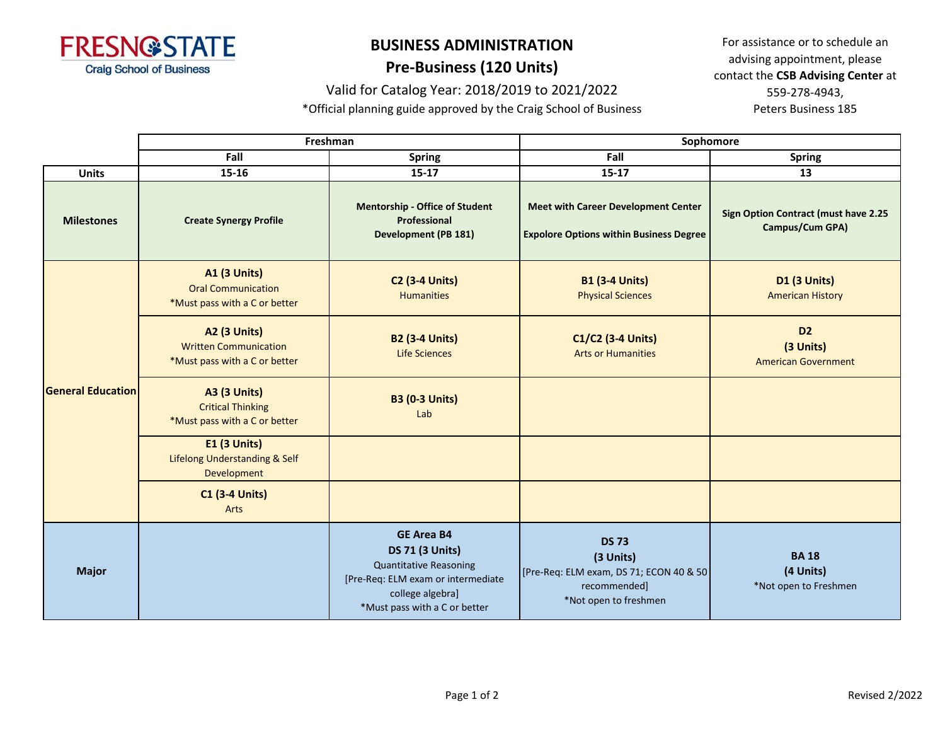

## **BUSINESS ADMINISTRATION Pre-Business (120 Units)**

Valid for Catalog Year: 2018/2019 to 2021/2022

\*Official planning guide approved by the Craig School of Business

For assistance or to schedule an advising appointment, please contact the **CSB Advising Center** at 559-278-4943, Peters Business 185

|                          | Freshman                                                                             |                                                                                                                                                                         | Sophomore                                                                                                     |                                                                |
|--------------------------|--------------------------------------------------------------------------------------|-------------------------------------------------------------------------------------------------------------------------------------------------------------------------|---------------------------------------------------------------------------------------------------------------|----------------------------------------------------------------|
|                          | Fall                                                                                 | <b>Spring</b>                                                                                                                                                           | Fall                                                                                                          | <b>Spring</b>                                                  |
| <b>Units</b>             | 15-16                                                                                | $15 - 17$                                                                                                                                                               | $15 - 17$                                                                                                     | 13                                                             |
| <b>Milestones</b>        | <b>Create Synergy Profile</b>                                                        | <b>Mentorship - Office of Student</b><br>Professional<br><b>Development (PB 181)</b>                                                                                    | <b>Meet with Career Development Center</b><br><b>Expolore Options within Business Degree</b>                  | <b>Sign Option Contract (must have 2.25</b><br>Campus/Cum GPA) |
| <b>General Education</b> | <b>A1 (3 Units)</b><br><b>Oral Communication</b><br>*Must pass with a C or better    | <b>C2 (3-4 Units)</b><br><b>Humanities</b>                                                                                                                              | <b>B1 (3-4 Units)</b><br><b>Physical Sciences</b>                                                             | <b>D1 (3 Units)</b><br><b>American History</b>                 |
|                          | <b>A2 (3 Units)</b><br><b>Written Communication</b><br>*Must pass with a C or better | <b>B2 (3-4 Units)</b><br><b>Life Sciences</b>                                                                                                                           | C1/C2 (3-4 Units)<br><b>Arts or Humanities</b>                                                                | D <sub>2</sub><br>(3 Units)<br><b>American Government</b>      |
|                          | <b>A3 (3 Units)</b><br><b>Critical Thinking</b><br>*Must pass with a C or better     | <b>B3 (0-3 Units)</b><br>Lab                                                                                                                                            |                                                                                                               |                                                                |
|                          | <b>E1 (3 Units)</b><br><b>Lifelong Understanding &amp; Self</b><br>Development       |                                                                                                                                                                         |                                                                                                               |                                                                |
|                          | <b>C1 (3-4 Units)</b><br>Arts                                                        |                                                                                                                                                                         |                                                                                                               |                                                                |
| <b>Major</b>             |                                                                                      | <b>GE Area B4</b><br><b>DS 71 (3 Units)</b><br><b>Quantitative Reasoning</b><br>[Pre-Req: ELM exam or intermediate<br>college algebra]<br>*Must pass with a C or better | <b>DS 73</b><br>(3 Units)<br>[Pre-Req: ELM exam, DS 71; ECON 40 & 50<br>recommended]<br>*Not open to freshmen | <b>BA18</b><br>(4 Units)<br>*Not open to Freshmen              |